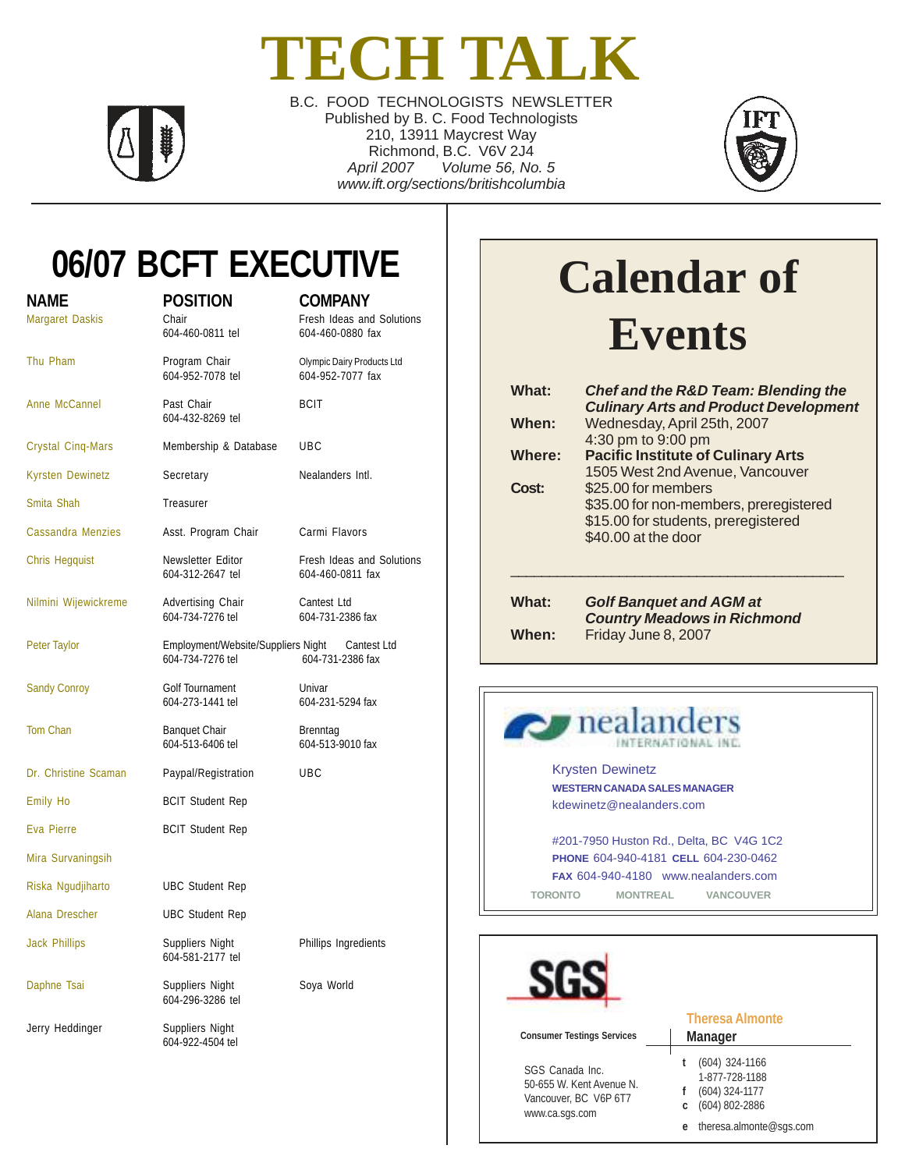# **TECH TALK**



B.C. FOOD TECHNOLOGISTS NEWSLETTER Published by B. C. Food Technologists 210, 13911 Maycrest Way Richmond, B.C. V6V 2J4 *April 2007 Volume 56, No. 5 www.ift.org/sections/britishcolumbia*



## **06/07 BCFT EXECUTIVE**

| <b>NAME</b><br><b>Margaret Daskis</b> | <b>POSITION</b><br>Chair<br>604-460-0811 tel           | <b>COMPANY</b><br>Fresh Ideas and Solutions<br>604-460-0880 fax |
|---------------------------------------|--------------------------------------------------------|-----------------------------------------------------------------|
| Thu Pham                              | Program Chair<br>604-952-7078 tel                      | Olympic Dairy Products Ltd<br>604-952-7077 fax                  |
| Anne McCannel                         | Past Chair<br><b>BCIT</b><br>604-432-8269 tel          |                                                                 |
| <b>Crystal Cinq-Mars</b>              | Membership & Database                                  | UBC                                                             |
| <b>Kyrsten Dewinetz</b>               | Secretary                                              | Nealanders Intl.                                                |
| Smita Shah                            | Treasurer                                              |                                                                 |
| Cassandra Menzies                     | Asst. Program Chair                                    | Carmi Flavors                                                   |
| <b>Chris Hegquist</b>                 | Newsletter Editor<br>604-312-2647 tel                  | Fresh Ideas and Solutions<br>604-460-0811 fax                   |
| Nilmini Wijewickreme                  | Advertising Chair<br>604-734-7276 tel                  | Cantest Ltd<br>604-731-2386 fax                                 |
| <b>Peter Taylor</b>                   | Employment/Website/Suppliers Night<br>604-734-7276 tel | Cantest Ltd<br>604-731-2386 fax                                 |
| <b>Sandy Conroy</b>                   | Golf Tournament<br>604-273-1441 tel                    | Univar<br>604-231-5294 fax                                      |
| <b>Tom Chan</b>                       | <b>Banquet Chair</b><br>604-513-6406 tel               | Brenntag<br>604-513-9010 fax                                    |
| Dr. Christine Scaman                  | Paypal/Registration                                    | UBC                                                             |
| <b>Emily Ho</b>                       | <b>BCIT Student Rep</b>                                |                                                                 |
| Eva Pierre                            | <b>BCIT Student Rep</b>                                |                                                                 |
| Mira Survaningsih                     |                                                        |                                                                 |
| Riska Ngudjiharto                     | <b>UBC Student Rep</b>                                 |                                                                 |
| Alana Drescher                        | <b>UBC Student Rep</b>                                 |                                                                 |
| <b>Jack Phillips</b>                  | Suppliers Night<br>604-581-2177 tel                    | Phillips Ingredients                                            |
| Daphne Tsai                           | Suppliers Night<br>604-296-3286 tel                    | Soya World                                                      |
| Jerry Heddinger                       | Suppliers Night<br>604-922-4504 tel                    |                                                                 |
|                                       |                                                        |                                                                 |

## **Calendar of Events**

| What:         | <b>Chef and the R&amp;D Team: Blending the</b><br><b>Culinary Arts and Product Development</b> |
|---------------|------------------------------------------------------------------------------------------------|
| When:         | Wednesday, April 25th, 2007                                                                    |
|               | 4:30 pm to 9:00 pm                                                                             |
| <b>Where:</b> | <b>Pacific Institute of Culinary Arts</b>                                                      |
|               | 1505 West 2nd Avenue, Vancouver                                                                |
| Cost:         | \$25,00 for members                                                                            |
|               | \$35.00 for non-members, preregistered                                                         |
|               | \$15.00 for students, preregistered                                                            |
|               | \$40.00 at the door                                                                            |
| What:         | <b>Golf Banquet and AGM at</b><br><b>Country Meadows in Richmond</b>                           |

*Country Meadows in Richmond* **When:** Friday June 8, 2007



Krysten Dewinetz **WESTERN CANADA SALES MANAGER** kdewinetz@nealanders.com

#201-7950 Huston Rd., Delta, BC V4G 1C2 **PHONE** 604-940-4181 **CELL** 604-230-0462 **FAX** 604-940-4180 www.nealanders.com **TORONTO MONTREAL VANCOUVER**

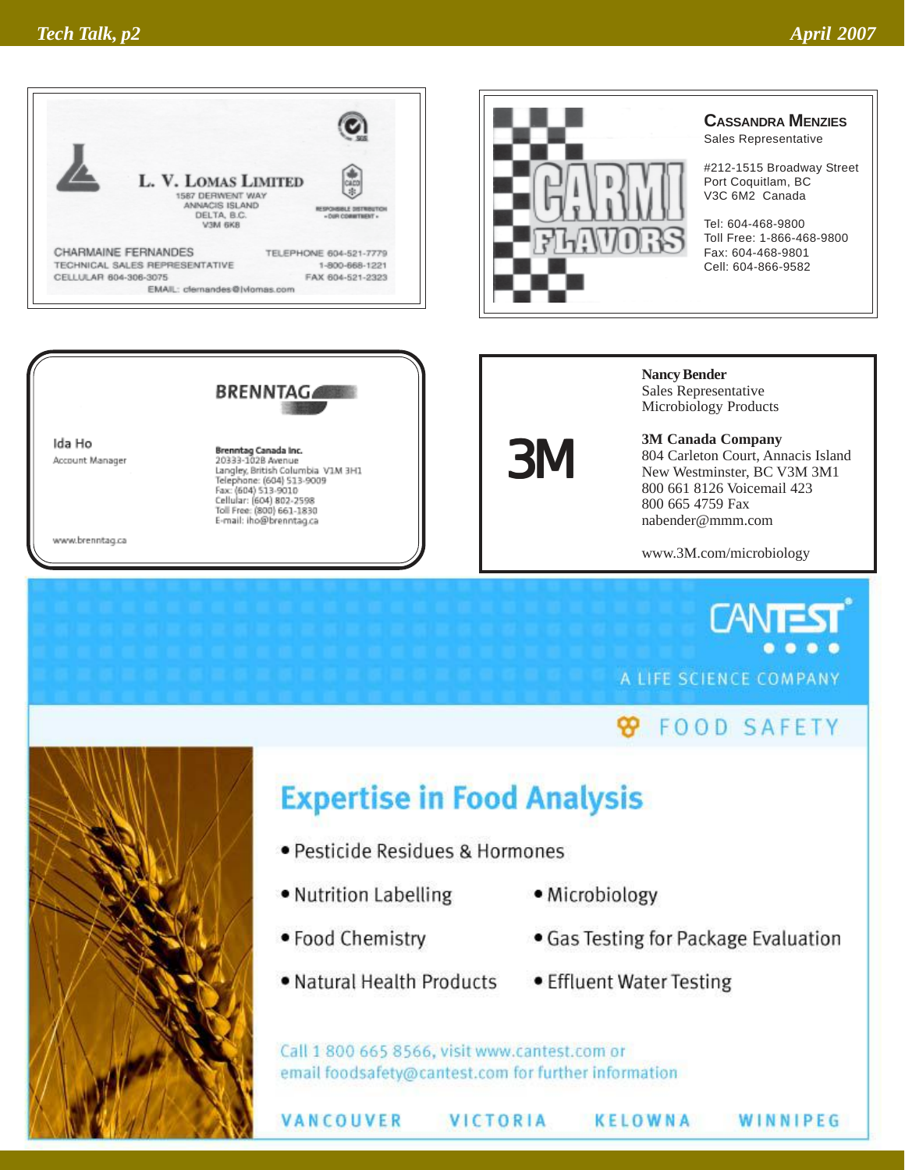



#### **CASSANDRA MENZIES**

Sales Representative

#212-1515 Broadway Street Port Coquitlam, BC V3C 6M2 Canada

Tel: 604-468-9800 Toll Free: 1-866-468-9800 Fax: 604-468-9801 Cell: 604-866-9582



Ida Ho Account Manager

Brenntag Canada Inc.<br>20333-1028 Avenue Langley, British Columbia VIM 3H1<br>Telephone: (604) 513-9009<br>Fax: (604) 513-9010 Cellular: (604) 802-2598<br>Toll Free: (800) 661-1830 E-mail: iho@brenntag.ca

www.brenntag.ca

3M

**Nancy Bender** Sales Representative Microbiology Products

**3M Canada Company** 804 Carleton Court, Annacis Island New Westminster, BC V3M 3M1 800 661 8126 Voicemail 423 800 665 4759 Fax nabender@mmm.com

www.3M.com/microbiology

**CANTE** A LIFE SCIENCE COMPANY

## **8** FOOD SAFETY

WINNIPEG



## **Expertise in Food Analysis**

- · Pesticide Residues & Hormones
- . Nutrition Labelling
- · Microbiology
- · Food Chemistry

VANCOUVER

- . Natural Health Products
- · Gas Testing for Package Evaluation
- Effluent Water Testing

**KELOWNA** 

Call 1 800 665 8566, visit www.cantest.com or email foodsafety@cantest.com for further information

VICTORIA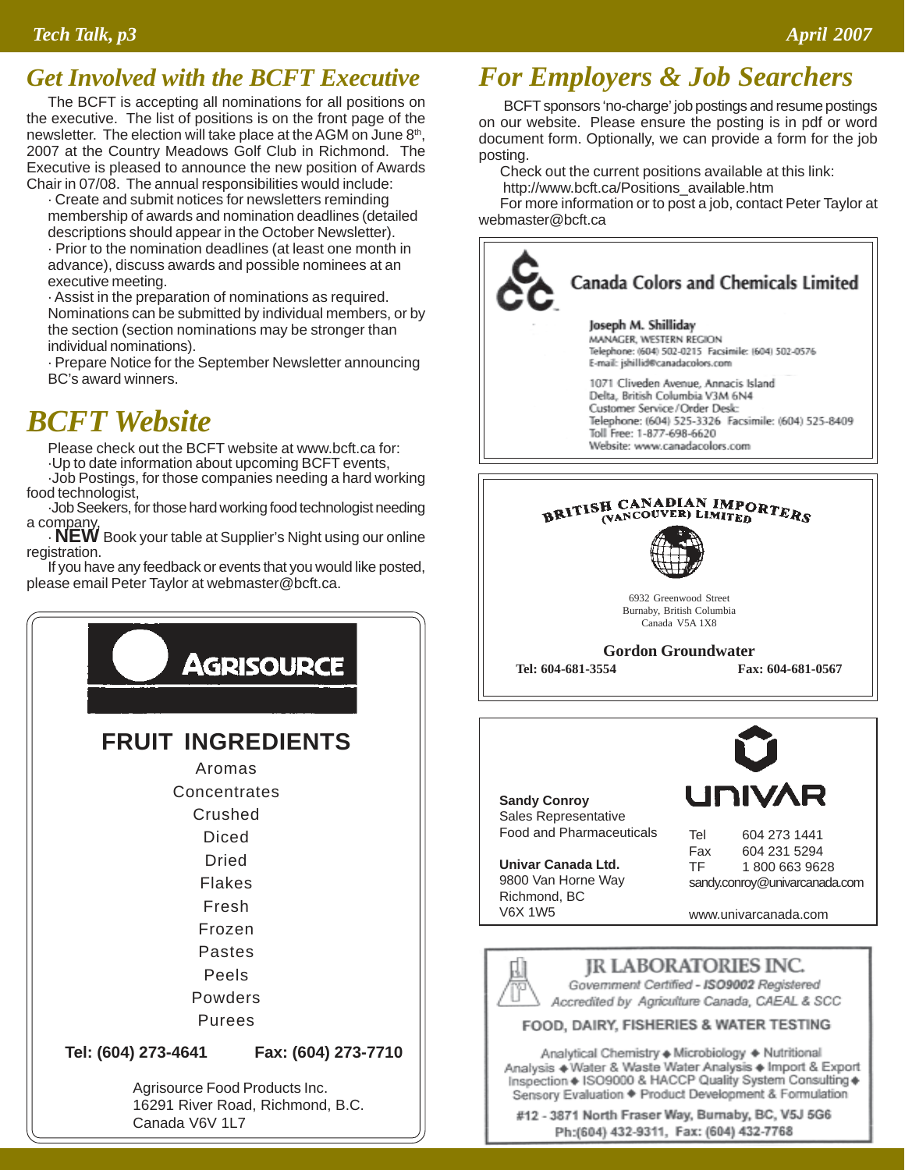### *Get Involved with the BCFT Executive*

The BCFT is accepting all nominations for all positions on the executive. The list of positions is on the front page of the newsletter. The election will take place at the AGM on June 8<sup>th</sup>, 2007 at the Country Meadows Golf Club in Richmond. The Executive is pleased to announce the new position of Awards Chair in 07/08. The annual responsibilities would include:

· Create and submit notices for newsletters reminding membership of awards and nomination deadlines (detailed descriptions should appear in the October Newsletter).

· Prior to the nomination deadlines (at least one month in advance), discuss awards and possible nominees at an executive meeting.

· Assist in the preparation of nominations as required. Nominations can be submitted by individual members, or by the section (section nominations may be stronger than individual nominations).

· Prepare Notice for the September Newsletter announcing BC's award winners.

## *BCFT Website*

Please check out the BCFT website at www.bcft.ca for: ·Up to date information about upcoming BCFT events,

·Job Postings, for those companies needing a hard working food technologist,

·Job Seekers, for those hard working food technologist needing a company,<br>**· NEW** Book your table at Supplier's Night using our online

registration.

If you have any feedback or events that you would like posted, please email Peter Taylor at webmaster@bcft.ca.



## *For Employers & Job Searchers*

 BCFT sponsors 'no-charge' job postings and resume postings on our website. Please ensure the posting is in pdf or word document form. Optionally, we can provide a form for the job posting.

Check out the current positions available at this link:

http://www.bcft.ca/Positions\_available.htm

For more information or to post a job, contact Peter Taylor at webmaster@bcft.ca



FOOD, DAIRY, FISHERIES & WATER TESTING

Analytical Chemistry + Microbiology + Nutritional Analysis + Water & Waste Water Analysis + Import & Export Inspection + ISO9000 & HACCP Quality System Consulting + Sensory Evaluation + Product Development & Formulation

#12 - 3871 North Fraser Way, Burnaby, BC, V5J 5G6 Ph:(604) 432-9311, Fax: (604) 432-7768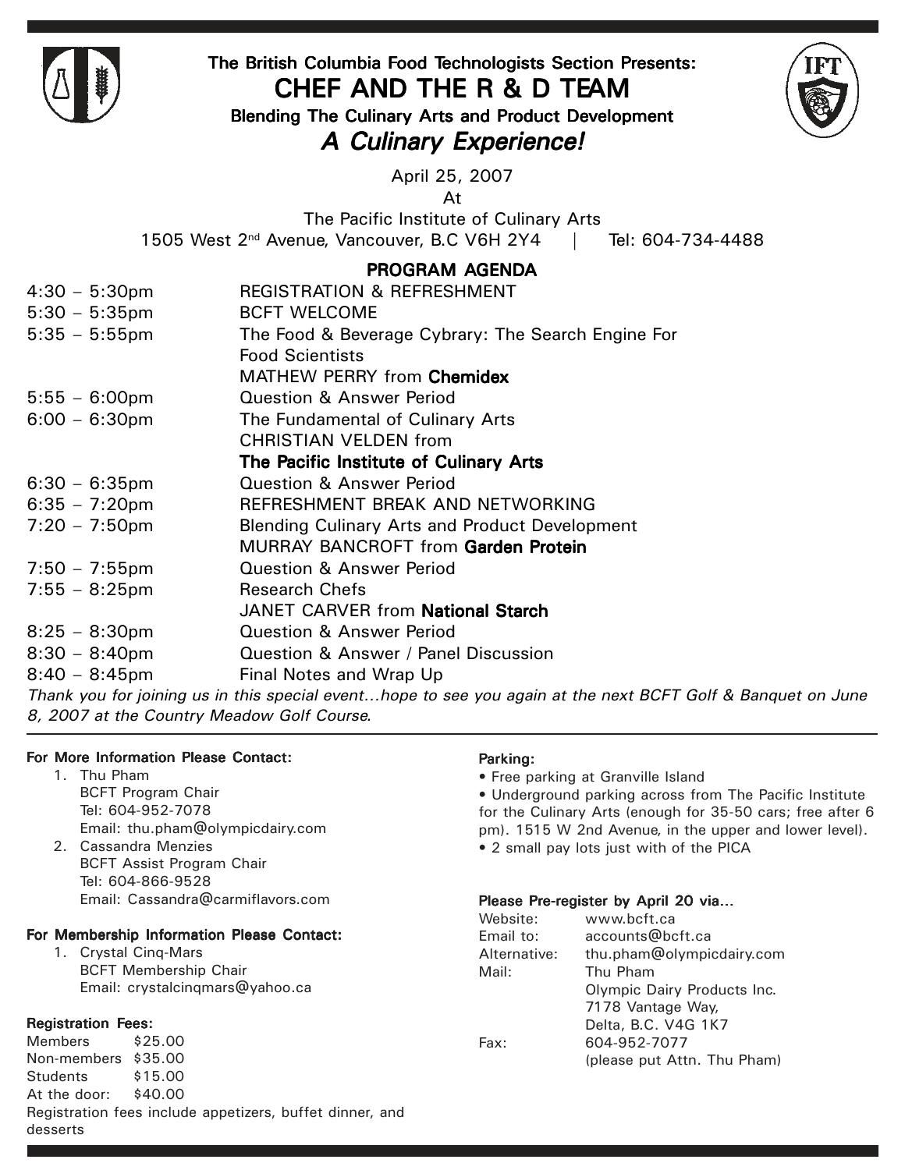

#### The British Columbia Food Technologists Section Presents: CHEF AND THE R & D TEAM

Blending The Culinary Arts and Product Development



A Culinary Experience!

April 25, 2007

At

The Pacific Institute of Culinary Arts 1505 West 2nd Avenue, Vancouver, B.C V6H 2Y4 | Tel: 604-734-4488

#### PROGRAM AGENDA

| $4:30 - 5:30 \text{pm}$ | <b>REGISTRATION &amp; REFRESHMENT</b>                                                     |
|-------------------------|-------------------------------------------------------------------------------------------|
| $5:30 - 5:35$ pm        | <b>BCFT WELCOME</b>                                                                       |
| $5:35 - 5:55$ pm        | The Food & Beverage Cybrary: The Search Engine For                                        |
|                         | <b>Food Scientists</b>                                                                    |
|                         | MATHEW PERRY from <b>Chemidex</b>                                                         |
| $5:55 - 6:00 \text{pm}$ | <b>Question &amp; Answer Period</b>                                                       |
| $6:00 - 6:30$ pm        | The Fundamental of Culinary Arts                                                          |
|                         | <b>CHRISTIAN VELDEN from</b>                                                              |
|                         | The Pacific Institute of Culinary Arts                                                    |
| $6:30 - 6:35$ pm        | <b>Question &amp; Answer Period</b>                                                       |
| $6:35 - 7:20 \text{pm}$ | REFRESHMENT BREAK AND NETWORKING                                                          |
| $7:20 - 7:50$ pm        | <b>Blending Culinary Arts and Product Development</b>                                     |
|                         | <b>MURRAY BANCROFT from Garden Protein</b>                                                |
| $7:50 - 7:55$ pm        | <b>Question &amp; Answer Period</b>                                                       |
| $7:55 - 8:25$ pm        | <b>Research Chefs</b>                                                                     |
|                         | JANET CARVER from National Starch                                                         |
| $8:25 - 8:30$ pm        | <b>Question &amp; Answer Period</b>                                                       |
| $8:30 - 8:40$ pm        | Question & Answer / Panel Discussion                                                      |
| $8:40 - 8:45$ pm        | Final Notes and Wrap Up                                                                   |
|                         | Thank you for joining us in this special event thone to see you again at the next RCET Gu |

Thank you for joining us in this special event…hope to see you again at the next BCFT Golf & Banquet on June 8, 2007 at the Country Meadow Golf Course.

#### For More Information Please Contact:

- 1. Thu Pham BCFT Program Chair Tel: 604-952-7078 Email: thu.pham@olympicdairy.com
- 2. Cassandra Menzies BCFT Assist Program Chair Tel: 604-866-9528 Email: Cassandra@carmiflavors.com

#### For Membership Information Please Contact:

1. Crystal Cinq-Mars BCFT Membership Chair Email: crystalcinqmars@yahoo.ca

#### Registration Fees:

Members \$25.00 Non-members \$35.00 Students \$15.00 At the door: \$40.00 Registration fees include appetizers, buffet dinner, and desserts

#### Parking:

• Free parking at Granville Island

• Underground parking across from The Pacific Institute for the Culinary Arts (enough for 35-50 cars; free after 6 pm). 1515 W 2nd Avenue, in the upper and lower level). • 2 small pay lots just with of the PICA

#### Please Pre-register by April 20 via…

| Website:     | www.bcft.ca                 |
|--------------|-----------------------------|
| Email to:    | accounts@bcft.ca            |
| Alternative: | thu.pham@olympicdairy.com   |
| Mail:        | Thu Pham                    |
|              | Olympic Dairy Products Inc. |
|              | 7178 Vantage Way,           |
|              | Delta, B.C. V4G 1K7         |
| Fax:         | 604-952-7077                |
|              | (please put Attn. Thu Pham) |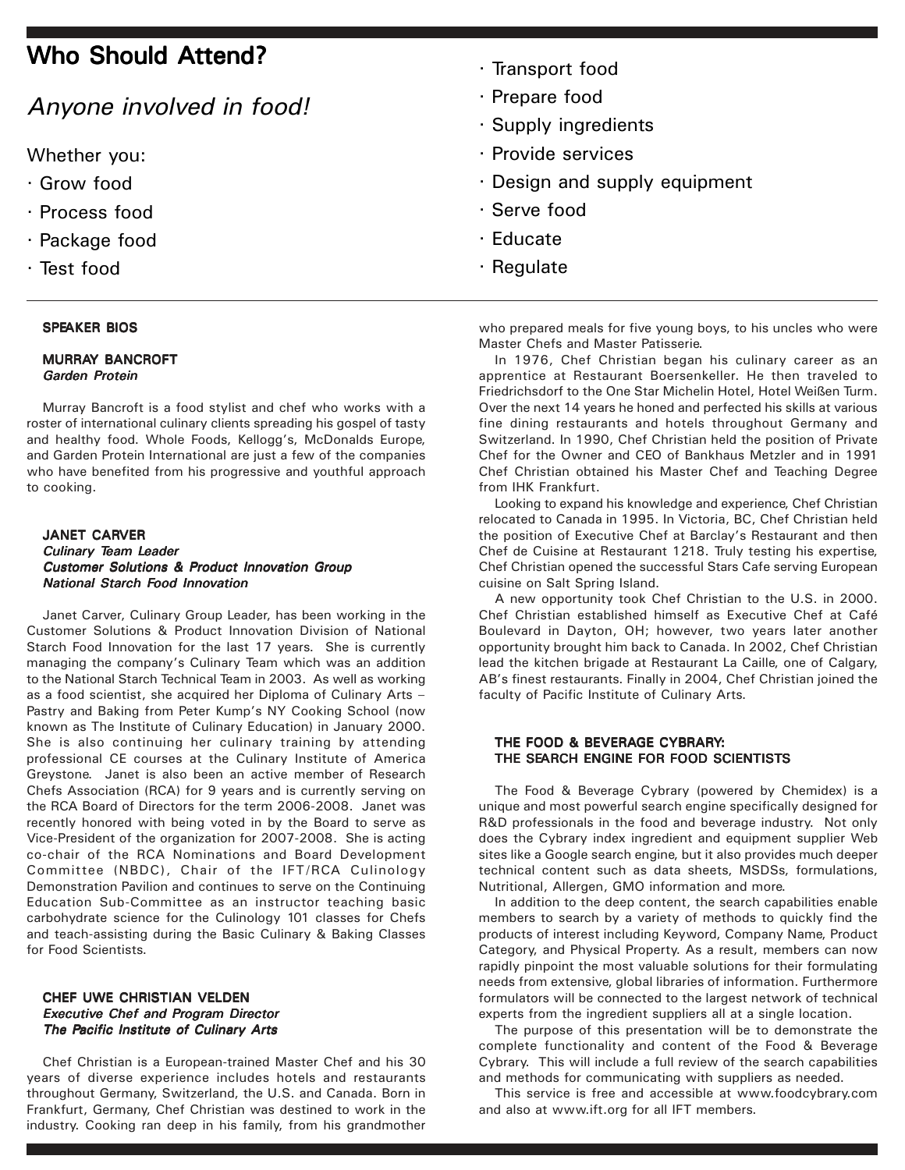### Who Should Attend?

### Anyone involved in food!

Whether you:

- · Grow food
- · Process food
- · Package food
- · Test food

#### SPEAKER BIOS

#### MURRAY BANCROFT Garden Protein

Murray Bancroft is a food stylist and chef who works with a roster of international culinary clients spreading his gospel of tasty and healthy food. Whole Foods, Kellogg's, McDonalds Europe, and Garden Protein International are just a few of the companies who have benefited from his progressive and youthful approach to cooking.

#### JANET CARVER Culinary Team Leader Customer Solutions & Product Innovation Group National Starch Food Innovation

Janet Carver, Culinary Group Leader, has been working in the Customer Solutions & Product Innovation Division of National Starch Food Innovation for the last 17 years. She is currently managing the company's Culinary Team which was an addition to the National Starch Technical Team in 2003. As well as working as a food scientist, she acquired her Diploma of Culinary Arts – Pastry and Baking from Peter Kump's NY Cooking School (now known as The Institute of Culinary Education) in January 2000. She is also continuing her culinary training by attending professional CE courses at the Culinary Institute of America Greystone. Janet is also been an active member of Research Chefs Association (RCA) for 9 years and is currently serving on the RCA Board of Directors for the term 2006-2008. Janet was recently honored with being voted in by the Board to serve as Vice-President of the organization for 2007-2008. She is acting co-chair of the RCA Nominations and Board Development Committee (NBDC), Chair of the IFT/RCA Culinology Demonstration Pavilion and continues to serve on the Continuing Education Sub-Committee as an instructor teaching basic carbohydrate science for the Culinology 101 classes for Chefs and teach-assisting during the Basic Culinary & Baking Classes for Food Scientists.

#### CHEF UWE CHRISTIAN VELDEN Executive Chef and Program Director The Pacific Institute of Culinary Arts

Chef Christian is a European-trained Master Chef and his 30 years of diverse experience includes hotels and restaurants throughout Germany, Switzerland, the U.S. and Canada. Born in Frankfurt, Germany, Chef Christian was destined to work in the industry. Cooking ran deep in his family, from his grandmother

- · Transport food
- · Prepare food
- · Supply ingredients
- · Provide services
- · Design and supply equipment
- · Serve food
- · Educate
- · Regulate

who prepared meals for five young boys, to his uncles who were Master Chefs and Master Patisserie.

In 1976, Chef Christian began his culinary career as an apprentice at Restaurant Boersenkeller. He then traveled to Friedrichsdorf to the One Star Michelin Hotel, Hotel Weißen Turm. Over the next 14 years he honed and perfected his skills at various fine dining restaurants and hotels throughout Germany and Switzerland. In 1990, Chef Christian held the position of Private Chef for the Owner and CEO of Bankhaus Metzler and in 1991 Chef Christian obtained his Master Chef and Teaching Degree from IHK Frankfurt.

Looking to expand his knowledge and experience, Chef Christian relocated to Canada in 1995. In Victoria, BC, Chef Christian held the position of Executive Chef at Barclay's Restaurant and then Chef de Cuisine at Restaurant 1218. Truly testing his expertise, Chef Christian opened the successful Stars Cafe serving European cuisine on Salt Spring Island.

A new opportunity took Chef Christian to the U.S. in 2000. Chef Christian established himself as Executive Chef at Café Boulevard in Dayton, OH; however, two years later another opportunity brought him back to Canada. In 2002, Chef Christian lead the kitchen brigade at Restaurant La Caille, one of Calgary, AB's finest restaurants. Finally in 2004, Chef Christian joined the faculty of Pacific Institute of Culinary Arts.

#### THE FOOD & BEVERAGE CYBRARY: THE SEARCH ENGINE FOR FOOD SCIENTISTS

The Food & Beverage Cybrary (powered by Chemidex) is a unique and most powerful search engine specifically designed for R&D professionals in the food and beverage industry. Not only does the Cybrary index ingredient and equipment supplier Web sites like a Google search engine, but it also provides much deeper technical content such as data sheets, MSDSs, formulations, Nutritional, Allergen, GMO information and more.

In addition to the deep content, the search capabilities enable members to search by a variety of methods to quickly find the products of interest including Keyword, Company Name, Product Category, and Physical Property. As a result, members can now rapidly pinpoint the most valuable solutions for their formulating needs from extensive, global libraries of information. Furthermore formulators will be connected to the largest network of technical experts from the ingredient suppliers all at a single location.

The purpose of this presentation will be to demonstrate the complete functionality and content of the Food & Beverage Cybrary. This will include a full review of the search capabilities and methods for communicating with suppliers as needed.

This service is free and accessible at www.foodcybrary.com and also at www.ift.org for all IFT members.